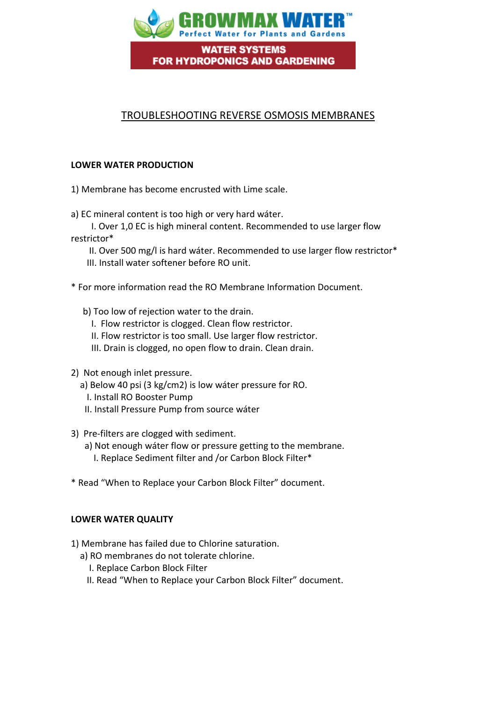

## TROUBLESHOOTING REVERSE OSMOSIS MEMBRANES

## **LOWER WATER PRODUCTION**

1) Membrane has become encrusted with Lime scale.

a) EC mineral content is too high or very hard wáter.

 I. Over 1,0 EC is high mineral content. Recommended to use larger flow restrictor\*

 II. Over 500 mg/l is hard wáter. Recommended to use larger flow restrictor\* III. Install water softener before RO unit.

\* For more information read the RO Membrane Information Document.

- b) Too low of rejection water to the drain.
	- I. Flow restrictor is clogged. Clean flow restrictor.
	- II. Flow restrictor is too small. Use larger flow restrictor.
	- III. Drain is clogged, no open flow to drain. Clean drain.
- 2) Not enough inlet pressure.
	- a) Below 40 psi (3 kg/cm2) is low wáter pressure for RO.
		- I. Install RO Booster Pump
	- II. Install Pressure Pump from source wáter
- 3) Pre-filters are clogged with sediment.
	- a) Not enough wáter flow or pressure getting to the membrane.
		- I. Replace Sediment filter and /or Carbon Block Filter\*
- \* Read "When to Replace your Carbon Block Filter" document.

## **LOWER WATER QUALITY**

- 1) Membrane has failed due to Chlorine saturation.
	- a) RO membranes do not tolerate chlorine.
		- I. Replace Carbon Block Filter
		- II. Read "When to Replace your Carbon Block Filter" document.